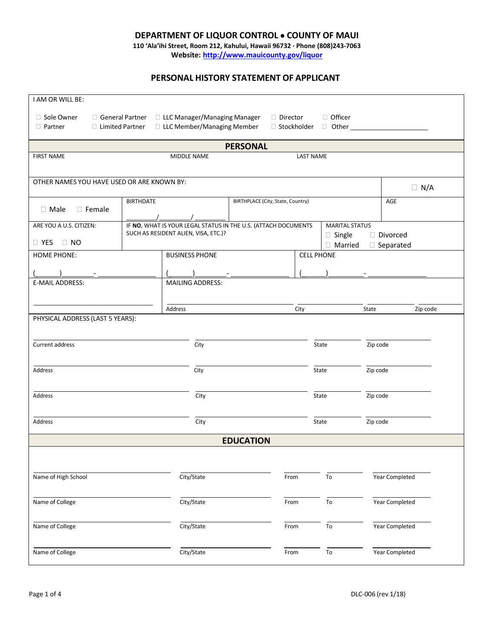## **DEPARTMENT OF LIQUOR CONTROL COUNTY OF MAUI**

**110 'Ala'ihi Street, Room 212, Kahului, Hawaii 96732 · Phone (808)243-7063 Website: <http://www.mauicounty.gov/liquor>**

## **PERSONAL HISTORY STATEMENT OF APPLICANT**

| I AM OR WILL BE:                                                                                               |                                                                    |                                   |                       |                                |  |  |  |  |
|----------------------------------------------------------------------------------------------------------------|--------------------------------------------------------------------|-----------------------------------|-----------------------|--------------------------------|--|--|--|--|
| □ Sole Owner                                                                                                   | □ General Partner □ LLC Manager/Managing Manager                   | D Director                        | □ Officer             |                                |  |  |  |  |
| □ LLC Member/Managing Member<br>□ Limited Partner<br>□ Stockholder □ Other <u>University</u><br>$\Box$ Partner |                                                                    |                                   |                       |                                |  |  |  |  |
| <b>PERSONAL</b>                                                                                                |                                                                    |                                   |                       |                                |  |  |  |  |
| <b>FIRST NAME</b>                                                                                              | <b>LAST NAME</b><br>MIDDLE NAME                                    |                                   |                       |                                |  |  |  |  |
| OTHER NAMES YOU HAVE USED OR ARE KNOWN BY:                                                                     |                                                                    |                                   |                       | $\Box$ N/A                     |  |  |  |  |
|                                                                                                                | <b>BIRTHDATE</b>                                                   | BIRTHPLACE (City, State, Country) |                       | AGE                            |  |  |  |  |
| $\Box$ Male<br>$\Box$ Female                                                                                   |                                                                    |                                   |                       |                                |  |  |  |  |
| ARE YOU A U.S. CITIZEN:                                                                                        | IF NO, WHAT IS YOUR LEGAL STATUS IN THE U.S. (ATTACH DOCUMENTS     |                                   | <b>MARITAL STATUS</b> |                                |  |  |  |  |
| $\Box$ YES $\Box$ NO                                                                                           | SUCH AS RESIDENT ALIEN, VISA, ETC.)?<br>$\Box$ Single<br>□ Married |                                   |                       | □ Divorced<br>$\Box$ Separated |  |  |  |  |
| HOME PHONE:                                                                                                    | <b>BUSINESS PHONE</b><br><b>CELL PHONE</b>                         |                                   |                       |                                |  |  |  |  |
|                                                                                                                |                                                                    |                                   |                       |                                |  |  |  |  |
| <b>E-MAIL ADDRESS:</b>                                                                                         | MAILING ADDRESS:                                                   |                                   |                       |                                |  |  |  |  |
|                                                                                                                |                                                                    |                                   |                       |                                |  |  |  |  |
| PHYSICAL ADDRESS (LAST 5 YEARS):                                                                               | Address                                                            | City                              | State                 | Zip code                       |  |  |  |  |
|                                                                                                                |                                                                    |                                   |                       |                                |  |  |  |  |
| Current address                                                                                                | City                                                               |                                   |                       | Zip code                       |  |  |  |  |
|                                                                                                                |                                                                    |                                   |                       |                                |  |  |  |  |
| Address                                                                                                        | City                                                               |                                   |                       | Zip code                       |  |  |  |  |
|                                                                                                                |                                                                    |                                   |                       |                                |  |  |  |  |
| Address                                                                                                        | City                                                               |                                   | Zip code<br>State     |                                |  |  |  |  |
|                                                                                                                |                                                                    |                                   |                       |                                |  |  |  |  |
| Address                                                                                                        | City                                                               |                                   | Zip code<br>State     |                                |  |  |  |  |
|                                                                                                                |                                                                    | <b>EDUCATION</b>                  |                       |                                |  |  |  |  |
|                                                                                                                |                                                                    |                                   |                       |                                |  |  |  |  |
| Name of High School                                                                                            | City/State                                                         | From                              | To                    | Year Completed                 |  |  |  |  |
|                                                                                                                |                                                                    |                                   |                       |                                |  |  |  |  |
| Name of College                                                                                                | City/State                                                         | From                              | To                    | Year Completed                 |  |  |  |  |
|                                                                                                                |                                                                    |                                   |                       |                                |  |  |  |  |
| Name of College                                                                                                | City/State                                                         | From                              | To                    | Year Completed                 |  |  |  |  |
|                                                                                                                |                                                                    |                                   |                       | Year Completed                 |  |  |  |  |
| Name of College                                                                                                | City/State                                                         | From                              | To                    |                                |  |  |  |  |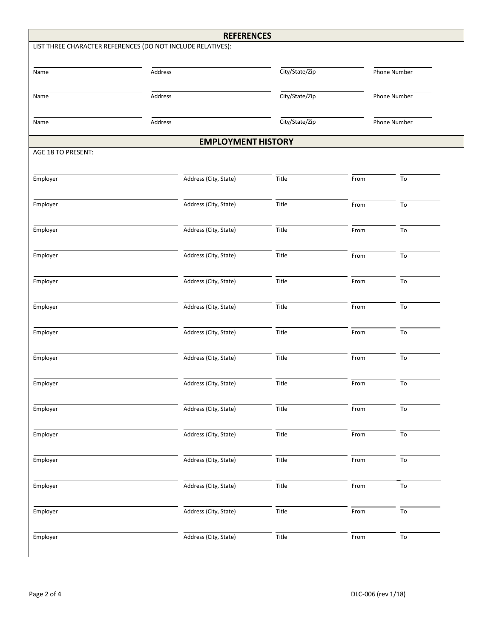| <b>REFERENCES</b>                                           |                       |                |      |                 |  |  |  |  |
|-------------------------------------------------------------|-----------------------|----------------|------|-----------------|--|--|--|--|
| LIST THREE CHARACTER REFERENCES (DO NOT INCLUDE RELATIVES): |                       |                |      |                 |  |  |  |  |
|                                                             |                       |                |      |                 |  |  |  |  |
| Name                                                        | Address               | City/State/Zip |      | Phone Number    |  |  |  |  |
|                                                             |                       |                |      |                 |  |  |  |  |
| Name                                                        | Address               | City/State/Zip |      | Phone Number    |  |  |  |  |
|                                                             |                       | City/State/Zip |      |                 |  |  |  |  |
| Name                                                        | Address               |                |      | Phone Number    |  |  |  |  |
| <b>EMPLOYMENT HISTORY</b>                                   |                       |                |      |                 |  |  |  |  |
| AGE 18 TO PRESENT:                                          |                       |                |      |                 |  |  |  |  |
|                                                             |                       |                |      |                 |  |  |  |  |
| Employer                                                    | Address (City, State) | Title          | From | To              |  |  |  |  |
|                                                             |                       |                |      |                 |  |  |  |  |
| Employer                                                    | Address (City, State) | Title          | From | To              |  |  |  |  |
|                                                             |                       |                |      |                 |  |  |  |  |
| Employer                                                    | Address (City, State) | Title          | From | To              |  |  |  |  |
|                                                             |                       |                |      |                 |  |  |  |  |
| Employer                                                    | Address (City, State) | Title          | From | To              |  |  |  |  |
| Employer                                                    | Address (City, State) | Title          | From | To              |  |  |  |  |
|                                                             |                       |                |      |                 |  |  |  |  |
| Employer                                                    | Address (City, State) | Title          | From | To              |  |  |  |  |
|                                                             |                       |                |      |                 |  |  |  |  |
| Employer                                                    | Address (City, State) | Title          | From | To              |  |  |  |  |
|                                                             |                       |                |      |                 |  |  |  |  |
| Employer                                                    | Address (City, State) | Title          | From | To              |  |  |  |  |
|                                                             |                       |                |      |                 |  |  |  |  |
| Employer                                                    | Address (City, State) | Title          | From | ${\tt To}$      |  |  |  |  |
|                                                             |                       |                |      |                 |  |  |  |  |
| Employer                                                    | Address (City, State) | Title          | From | To              |  |  |  |  |
|                                                             |                       |                |      |                 |  |  |  |  |
| Employer                                                    | Address (City, State) | Title          | From | To              |  |  |  |  |
|                                                             |                       |                |      |                 |  |  |  |  |
| Employer                                                    | Address (City, State) | Title          | From | $\overline{To}$ |  |  |  |  |
| Employer                                                    | Address (City, State) | Title          | From | To              |  |  |  |  |
|                                                             |                       |                |      |                 |  |  |  |  |
| Employer                                                    | Address (City, State) | Title          | From | To              |  |  |  |  |
|                                                             |                       |                |      |                 |  |  |  |  |
| Employer                                                    | Address (City, State) | Title          | From | $\overline{To}$ |  |  |  |  |
|                                                             |                       |                |      |                 |  |  |  |  |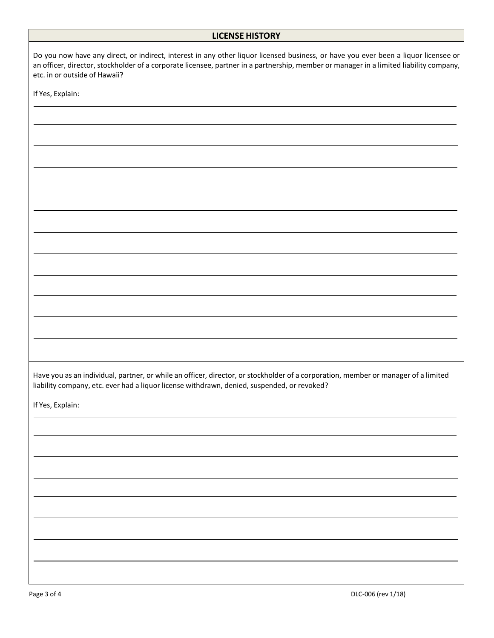## **LICENSE HISTORY**

| Do you now have any direct, or indirect, interest in any other liquor licensed business, or have you ever been a liquor licensee or<br>an officer, director, stockholder of a corporate licensee, partner in a partnership, member or manager in a limited liability company,<br>etc. in or outside of Hawaii? |
|----------------------------------------------------------------------------------------------------------------------------------------------------------------------------------------------------------------------------------------------------------------------------------------------------------------|
| If Yes, Explain:                                                                                                                                                                                                                                                                                               |
|                                                                                                                                                                                                                                                                                                                |
|                                                                                                                                                                                                                                                                                                                |
|                                                                                                                                                                                                                                                                                                                |
|                                                                                                                                                                                                                                                                                                                |
|                                                                                                                                                                                                                                                                                                                |
|                                                                                                                                                                                                                                                                                                                |
|                                                                                                                                                                                                                                                                                                                |
|                                                                                                                                                                                                                                                                                                                |
|                                                                                                                                                                                                                                                                                                                |
|                                                                                                                                                                                                                                                                                                                |
|                                                                                                                                                                                                                                                                                                                |
|                                                                                                                                                                                                                                                                                                                |
|                                                                                                                                                                                                                                                                                                                |
|                                                                                                                                                                                                                                                                                                                |
| Have you as an individual, partner, or while an officer, director, or stockholder of a corporation, member or manager of a limited<br>liability company, etc. ever had a liquor license withdrawn, denied, suspended, or revoked?                                                                              |
| If Yes, Explain:                                                                                                                                                                                                                                                                                               |
|                                                                                                                                                                                                                                                                                                                |
|                                                                                                                                                                                                                                                                                                                |
|                                                                                                                                                                                                                                                                                                                |
|                                                                                                                                                                                                                                                                                                                |
|                                                                                                                                                                                                                                                                                                                |
|                                                                                                                                                                                                                                                                                                                |
|                                                                                                                                                                                                                                                                                                                |
|                                                                                                                                                                                                                                                                                                                |
|                                                                                                                                                                                                                                                                                                                |
| DLC-006 (rev 1/18)<br>Page 3 of 4                                                                                                                                                                                                                                                                              |